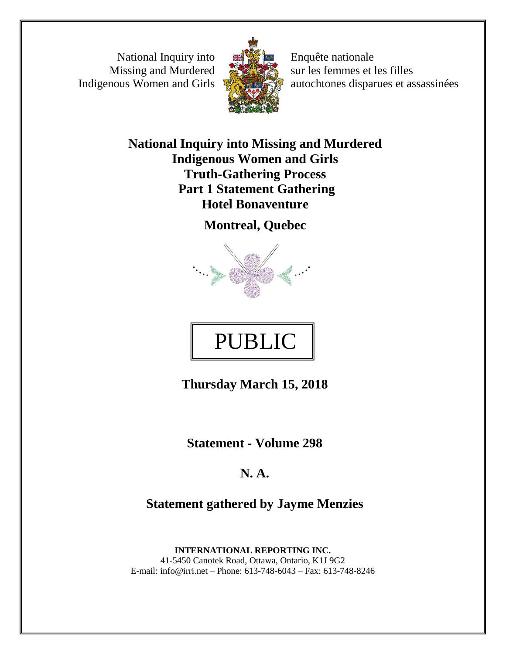National Inquiry into Missing and Murdered Indigenous Women and Girls



Enquête nationale sur les femmes et les filles autochtones disparues et assassinées

**National Inquiry into Missing and Murdered Indigenous Women and Girls Truth-Gathering Process Part 1 Statement Gathering Hotel Bonaventure**

**Montreal, Quebec**





**Thursday March 15, 2018**

**Statement - Volume 298**

## **N. A.**

**Statement gathered by Jayme Menzies**

**INTERNATIONAL REPORTING INC.** 41-5450 Canotek Road, Ottawa, Ontario, K1J 9G2 E-mail: info@irri.net – Phone: 613-748-6043 – Fax: 613-748-8246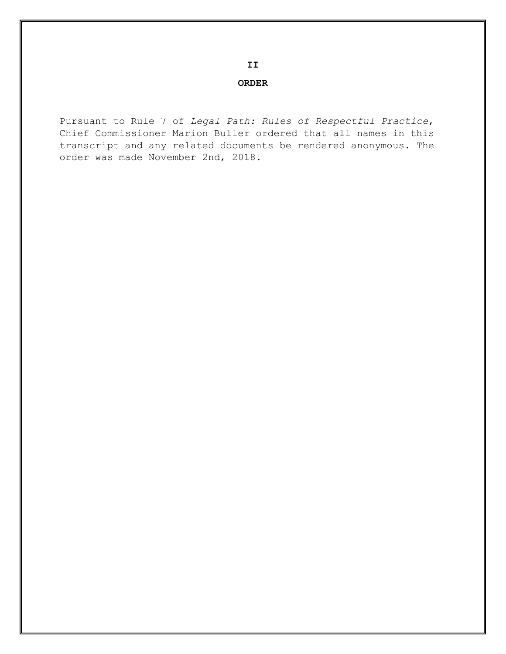**II**

## **ORDER**

Pursuant to Rule 7 of *Legal Path: Rules of Respectful Practice*, Chief Commissioner Marion Buller ordered that all names in this transcript and any related documents be rendered anonymous. The order was made November 2nd, 2018.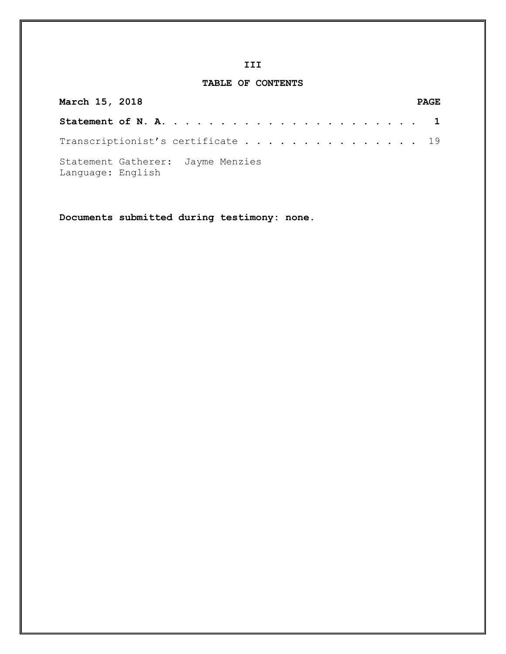## **III**

## **TABLE OF CONTENTS**

| March 15, 2018                                         |  |  |  |  |  | <b>PAGE</b> |
|--------------------------------------------------------|--|--|--|--|--|-------------|
|                                                        |  |  |  |  |  |             |
| Transcriptionist's certificate 19                      |  |  |  |  |  |             |
| Statement Gatherer: Jayme Menzies<br>Language: English |  |  |  |  |  |             |

**Documents submitted during testimony: none.**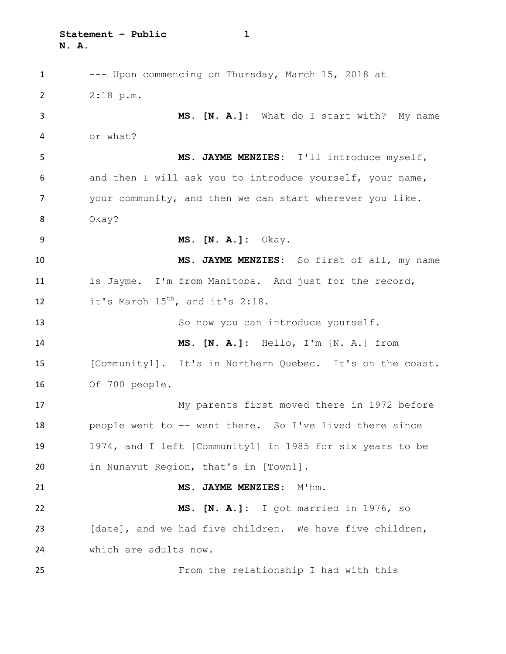**Statement – Public 1 N. A.**

 --- Upon commencing on Thursday, March 15, 2018 at 2:18 p.m. **MS. [N. A.]:** What do I start with? My name or what? **MS. JAYME MENZIES:** I'll introduce myself, and then I will ask you to introduce yourself, your name, your community, and then we can start wherever you like. Okay? **MS. [N. A.]:** Okay. **MS. JAYME MENZIES:** So first of all, my name is Jayme. I'm from Manitoba. And just for the record, 12 it's March  $15^{th}$ , and it's 2:18. 13 So now you can introduce yourself. **MS. [N. A.]:** Hello, I'm [N. A.] from [Community1]. It's in Northern Quebec. It's on the coast. Of 700 people. My parents first moved there in 1972 before people went to -- went there. So I've lived there since 1974, and I left [Community1] in 1985 for six years to be in Nunavut Region, that's in [Town1]. **MS. JAYME MENZIES:** M'hm. **MS. [N. A.]:** I got married in 1976, so 23 [date], and we had five children. We have five children, which are adults now. From the relationship I had with this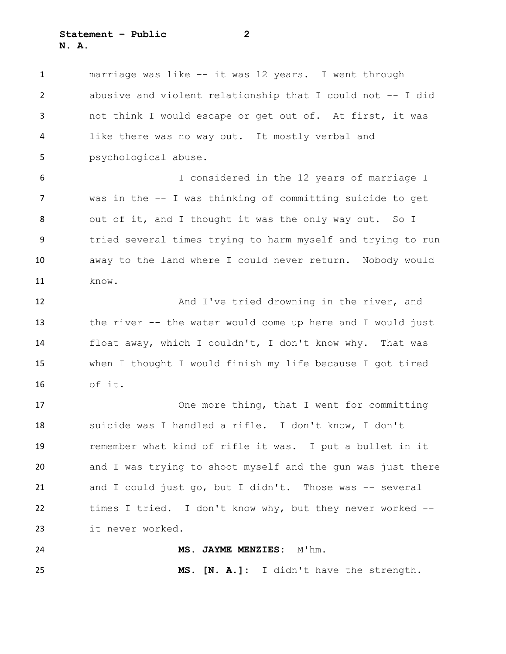**Statement – Public 2 N. A.**

 marriage was like -- it was 12 years. I went through abusive and violent relationship that I could not -- I did not think I would escape or get out of. At first, it was like there was no way out. It mostly verbal and psychological abuse. I considered in the 12 years of marriage I was in the -- I was thinking of committing suicide to get 8 out of it, and I thought it was the only way out. So I tried several times trying to harm myself and trying to run away to the land where I could never return. Nobody would know. And I've tried drowning in the river, and the river -- the water would come up here and I would just float away, which I couldn't, I don't know why. That was when I thought I would finish my life because I got tired of it. One more thing, that I went for committing suicide was I handled a rifle. I don't know, I don't remember what kind of rifle it was. I put a bullet in it and I was trying to shoot myself and the gun was just there 21 and I could just go, but I didn't. Those was -- several times I tried. I don't know why, but they never worked -- it never worked. **MS. JAYME MENZIES:** M'hm. **MS. [N. A.]:** I didn't have the strength.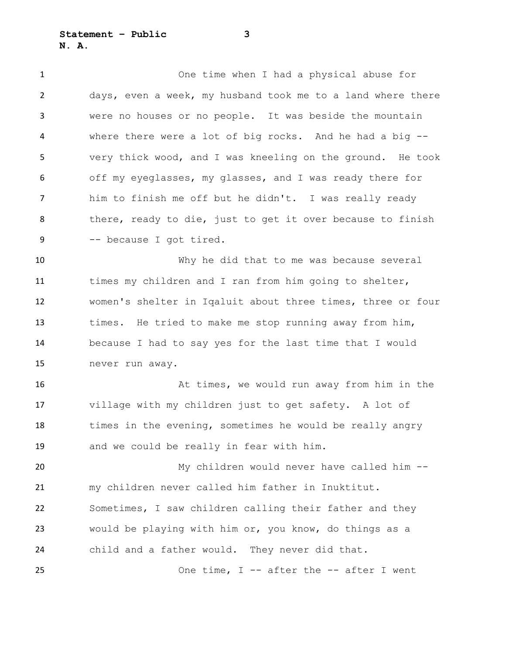**Statement – Public 3 N. A.**

 One time when I had a physical abuse for days, even a week, my husband took me to a land where there were no houses or no people. It was beside the mountain where there were a lot of big rocks. And he had a big -- very thick wood, and I was kneeling on the ground. He took off my eyeglasses, my glasses, and I was ready there for him to finish me off but he didn't. I was really ready 8 there, ready to die, just to get it over because to finish -- because I got tired.

 Why he did that to me was because several times my children and I ran from him going to shelter, women's shelter in Iqaluit about three times, three or four times. He tried to make me stop running away from him, because I had to say yes for the last time that I would never run away.

 At times, we would run away from him in the village with my children just to get safety. A lot of 18 times in the evening, sometimes he would be really angry and we could be really in fear with him.

 My children would never have called him -- my children never called him father in Inuktitut. Sometimes, I saw children calling their father and they would be playing with him or, you know, do things as a child and a father would. They never did that.

25 One time, I -- after the -- after I went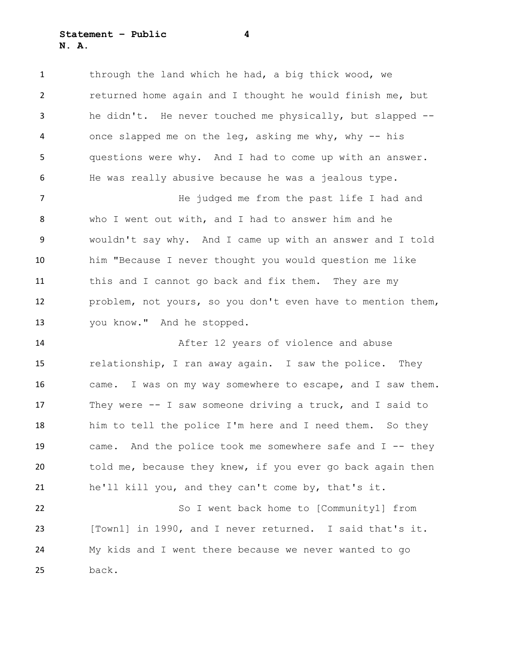**Statement – Public 4 N. A.**

 through the land which he had, a big thick wood, we returned home again and I thought he would finish me, but he didn't. He never touched me physically, but slapped -- once slapped me on the leg, asking me why, why -- his questions were why. And I had to come up with an answer. He was really abusive because he was a jealous type.

7 The judged me from the past life I had and who I went out with, and I had to answer him and he wouldn't say why. And I came up with an answer and I told him "Because I never thought you would question me like this and I cannot go back and fix them. They are my problem, not yours, so you don't even have to mention them, you know." And he stopped.

 After 12 years of violence and abuse relationship, I ran away again. I saw the police. They came. I was on my way somewhere to escape, and I saw them. They were -- I saw someone driving a truck, and I said to him to tell the police I'm here and I need them. So they came. And the police took me somewhere safe and I -- they 20 told me, because they knew, if you ever go back again then he'll kill you, and they can't come by, that's it.

 So I went back home to [Community1] from [Town1] in 1990, and I never returned. I said that's it. My kids and I went there because we never wanted to go back.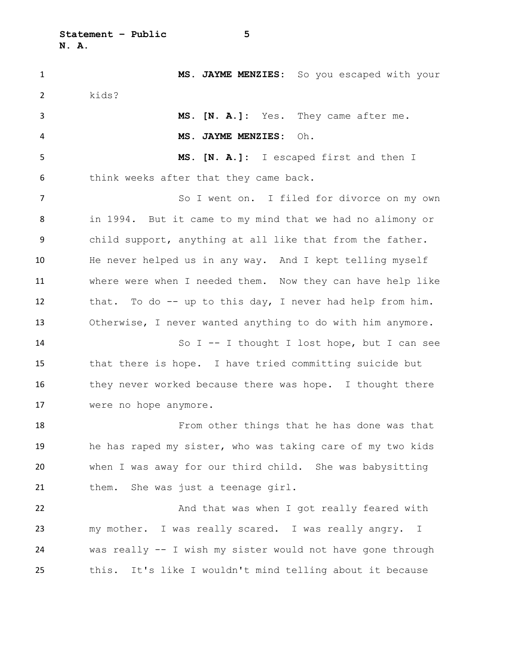**Statement – Public 5 N. A.**

 **MS. JAYME MENZIES:** So you escaped with your kids? **MS. [N. A.]:** Yes. They came after me. **MS. JAYME MENZIES:** Oh. **MS. [N. A.]:** I escaped first and then I think weeks after that they came back. 7 So I went on. I filed for divorce on my own in 1994. But it came to my mind that we had no alimony or child support, anything at all like that from the father. He never helped us in any way. And I kept telling myself where were when I needed them. Now they can have help like that. To do -- up to this day, I never had help from him. Otherwise, I never wanted anything to do with him anymore. So I -- I thought I lost hope, but I can see that there is hope. I have tried committing suicide but 16 they never worked because there was hope. I thought there were no hope anymore. From other things that he has done was that he has raped my sister, who was taking care of my two kids when I was away for our third child. She was babysitting 21 them. She was just a teenage girl. And that was when I got really feared with my mother. I was really scared. I was really angry. I was really -- I wish my sister would not have gone through this. It's like I wouldn't mind telling about it because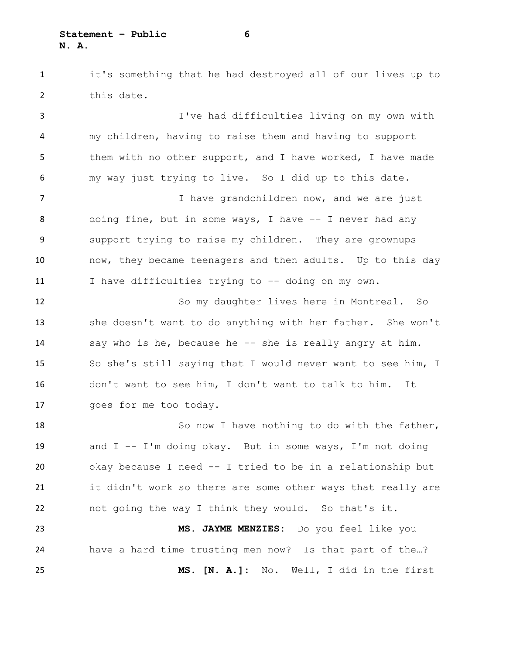**Statement – Public 6 N. A.**

 it's something that he had destroyed all of our lives up to 2 this date.

 I've had difficulties living on my own with my children, having to raise them and having to support 5 them with no other support, and I have worked, I have made my way just trying to live. So I did up to this date. 7 I have grandchildren now, and we are just

 doing fine, but in some ways, I have -- I never had any support trying to raise my children. They are grownups now, they became teenagers and then adults. Up to this day I have difficulties trying to -- doing on my own.

 So my daughter lives here in Montreal. So she doesn't want to do anything with her father. She won't say who is he, because he -- she is really angry at him. So she's still saying that I would never want to see him, I don't want to see him, I don't want to talk to him. It goes for me too today.

18 So now I have nothing to do with the father, and I -- I'm doing okay. But in some ways, I'm not doing okay because I need -- I tried to be in a relationship but it didn't work so there are some other ways that really are not going the way I think they would. So that's it.

 **MS. JAYME MENZIES:** Do you feel like you have a hard time trusting men now? Is that part of the…? **MS. [N. A.]:** No. Well, I did in the first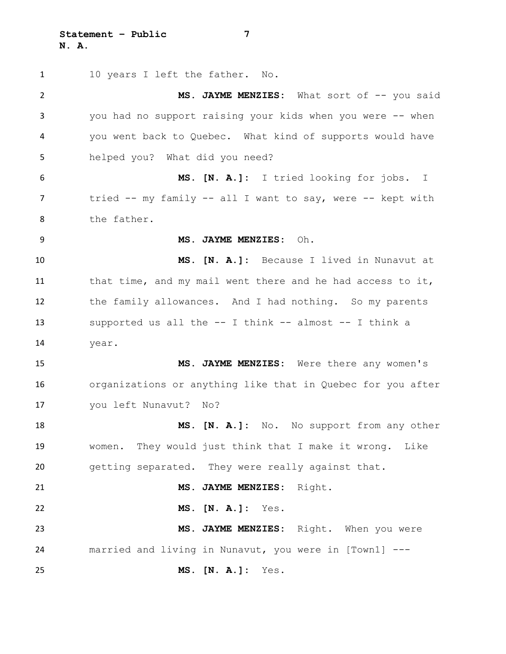**Statement – Public 7 N. A.**

1 10 years I left the father. No. 2 MS. JAYME MENZIES: What sort of  $-$  you said you had no support raising your kids when you were -- when you went back to Quebec. What kind of supports would have helped you? What did you need? **MS. [N. A.]:** I tried looking for jobs. I 7 tried -- my family -- all I want to say, were -- kept with the father. **MS. JAYME MENZIES:** Oh. **MS. [N. A.]:** Because I lived in Nunavut at 11 that time, and my mail went there and he had access to it, the family allowances. And I had nothing. So my parents supported us all the -- I think -- almost -- I think a year. **MS. JAYME MENZIES:** Were there any women's organizations or anything like that in Quebec for you after you left Nunavut? No? **MS. [N. A.]:** No. No support from any other women. They would just think that I make it wrong. Like getting separated. They were really against that. **MS. JAYME MENZIES:** Right. **MS. [N. A.]:** Yes. **MS. JAYME MENZIES:** Right. When you were married and living in Nunavut, you were in [Town1] --- **MS. [N. A.]:** Yes.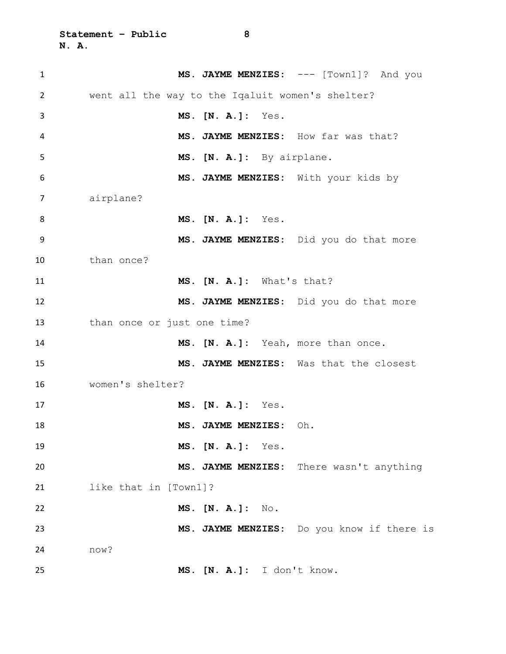| $\mathbf{1}$   | MS. JAYME MENZIES: --- [Town1]? And you          |
|----------------|--------------------------------------------------|
| $\overline{2}$ | went all the way to the Iqaluit women's shelter? |
| 3              | MS. [N. A.]: Yes.                                |
| 4              | MS. JAYME MENZIES: How far was that?             |
| 5              | MS. [N. A.]: By airplane.                        |
| 6              | MS. JAYME MENZIES: With your kids by             |
| 7              | airplane?                                        |
| 8              | MS. [N. A.]: Yes.                                |
| 9              | MS. JAYME MENZIES: Did you do that more          |
| 10             | than once?                                       |
| 11             | MS. [N. A.]: What's that?                        |
| 12             | MS. JAYME MENZIES: Did you do that more          |
| 13             | than once or just one time?                      |
| 14             | MS. [N. A.]: Yeah, more than once.               |
| 15             | MS. JAYME MENZIES: Was that the closest          |
| 16             | women's shelter?                                 |
| 17             | MS. [N. A.]: Yes.                                |
| 18             | MS. JAYME MENZIES:<br>Oh.                        |
| 19             | MS. [N. A.]: Yes.                                |
| 20             | MS. JAYME MENZIES: There wasn't anything         |
| 21             | like that in [Town1]?                            |
| 22             | MS. [N. A.] : No.                                |
| 23             | MS. JAYME MENZIES: Do you know if there is       |
| 24             | now?                                             |
| 25             | MS. [N. A.]: I don't know.                       |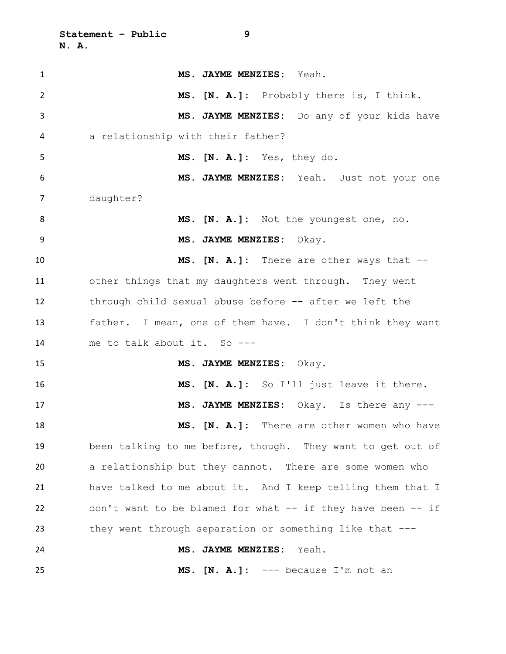**Statement – Public 9 N. A.**

| $\mathbf{1}$   | MS. JAYME MENZIES: Yeah.                                    |
|----------------|-------------------------------------------------------------|
| $\overline{2}$ | MS. [N. A.]: Probably there is, I think.                    |
| 3              | MS. JAYME MENZIES: Do any of your kids have                 |
| 4              | a relationship with their father?                           |
| 5              | MS. [N. A.]: Yes, they do.                                  |
| 6              | MS. JAYME MENZIES: Yeah. Just not your one                  |
| 7              | daughter?                                                   |
| 8              | MS. [N. A.]: Not the youngest one, no.                      |
| 9              | MS. JAYME MENZIES: Okay.                                    |
| 10             | MS. [N. A.]: There are other ways that --                   |
| 11             | other things that my daughters went through. They went      |
| 12             | through child sexual abuse before -- after we left the      |
| 13             | father. I mean, one of them have. I don't think they want   |
| 14             | me to talk about it. So ---                                 |
| 15             | MS. JAYME MENZIES: Okay.                                    |
| 16             | MS. [N. A.]: So I'll just leave it there.                   |
| 17             | MS. JAYME MENZIES: Okay. Is there any ---                   |
| 18             | MS. [N. A.]: There are other women who have                 |
| 19             | been talking to me before, though. They want to get out of  |
| 20             | a relationship but they cannot. There are some women who    |
| 21             | have talked to me about it. And I keep telling them that I  |
| 22             | don't want to be blamed for what -- if they have been -- if |
| 23             | they went through separation or something like that ---     |
| 24             | MS. JAYME MENZIES:<br>Yeah.                                 |
| 25             | MS. $[N. A.]$ : --- because I'm not an                      |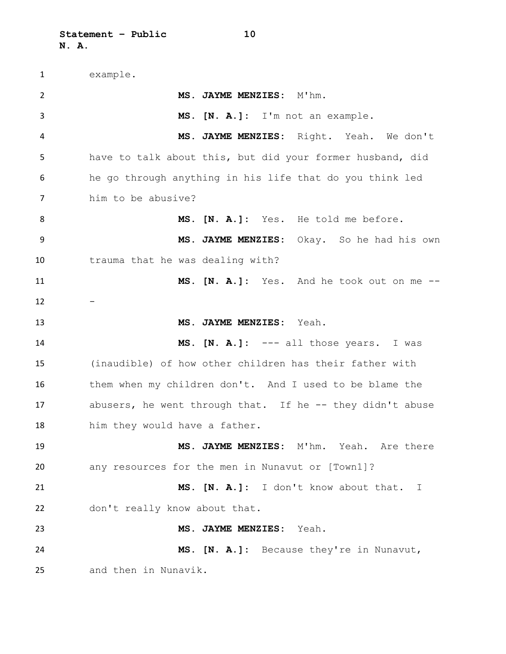example. **MS. JAYME MENZIES:** M'hm. **MS. [N. A.]:** I'm not an example. **MS. JAYME MENZIES:** Right. Yeah. We don't have to talk about this, but did your former husband, did he go through anything in his life that do you think led him to be abusive? **MS. [N. A.]:** Yes. He told me before. **MS. JAYME MENZIES:** Okay. So he had his own trauma that he was dealing with? **MS. [N. A.]:** Yes. And he took out on me -- **MS. JAYME MENZIES:** Yeah. **MS. [N. A.]:** --- all those years. I was (inaudible) of how other children has their father with them when my children don't. And I used to be blame the 17 abusers, he went through that. If he -- they didn't abuse him they would have a father. **MS. JAYME MENZIES:** M'hm. Yeah. Are there any resources for the men in Nunavut or [Town1]? **MS. [N. A.]:** I don't know about that. I don't really know about that. **MS. JAYME MENZIES:** Yeah. **MS. [N. A.]:** Because they're in Nunavut, and then in Nunavik.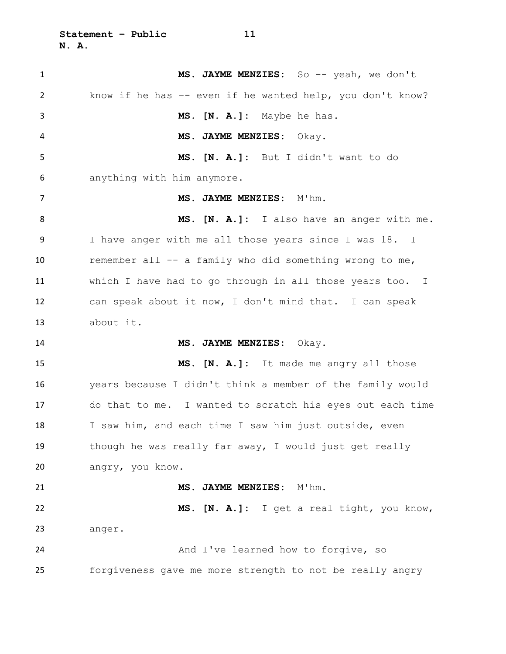| $\mathbf{1}$ | MS. JAYME MENZIES: So -- yeah, we don't                    |
|--------------|------------------------------------------------------------|
| 2            | know if he has $-$ even if he wanted help, you don't know? |
| 3            | MS. [N. A.]: Maybe he has.                                 |
| 4            | MS. JAYME MENZIES: Okay.                                   |
| 5            | MS. [N. A.]: But I didn't want to do                       |
| 6            | anything with him anymore.                                 |
| 7            | MS. JAYME MENZIES: M'hm.                                   |
| 8            | MS. [N. A.]: I also have an anger with me.                 |
| 9            | I have anger with me all those years since I was 18. I     |
| 10           | remember all -- a family who did something wrong to me,    |
| 11           | which I have had to go through in all those years too. I   |
| 12           | can speak about it now, I don't mind that. I can speak     |
|              |                                                            |
| 13           | about it.                                                  |
| 14           | MS. JAYME MENZIES: Okay.                                   |
| 15           | MS. [N. A.]: It made me angry all those                    |
| 16           | years because I didn't think a member of the family would  |
| 17           | do that to me. I wanted to scratch his eyes out each time  |
| 18           | I saw him, and each time I saw him just outside, even      |
| 19           | though he was really far away, I would just get really     |
| 20           | angry, you know.                                           |
| 21           | MS. JAYME MENZIES:<br>M'hm.                                |
| 22           | MS. [N. A.]: I get a real tight, you know,                 |
| 23           | anger.                                                     |
| 24           | And I've learned how to forgive, so                        |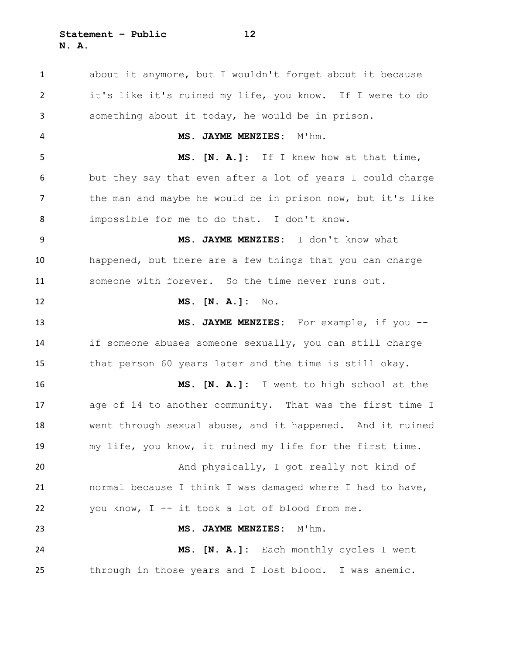**Statement – Public 12 N. A.**

 about it anymore, but I wouldn't forget about it because it's like it's ruined my life, you know. If I were to do something about it today, he would be in prison. **MS. JAYME MENZIES:** M'hm. **MS. [N. A.]:** If I knew how at that time, but they say that even after a lot of years I could charge 7 the man and maybe he would be in prison now, but it's like impossible for me to do that. I don't know. **MS. JAYME MENZIES:** I don't know what happened, but there are a few things that you can charge someone with forever. So the time never runs out. **MS. [N. A.]:** No. **MS. JAYME MENZIES:** For example, if you -- if someone abuses someone sexually, you can still charge that person 60 years later and the time is still okay. **MS. [N. A.]:** I went to high school at the age of 14 to another community. That was the first time I went through sexual abuse, and it happened. And it ruined my life, you know, it ruined my life for the first time. And physically, I got really not kind of normal because I think I was damaged where I had to have, you know, I -- it took a lot of blood from me. **MS. JAYME MENZIES:** M'hm. **MS. [N. A.]:** Each monthly cycles I went through in those years and I lost blood. I was anemic.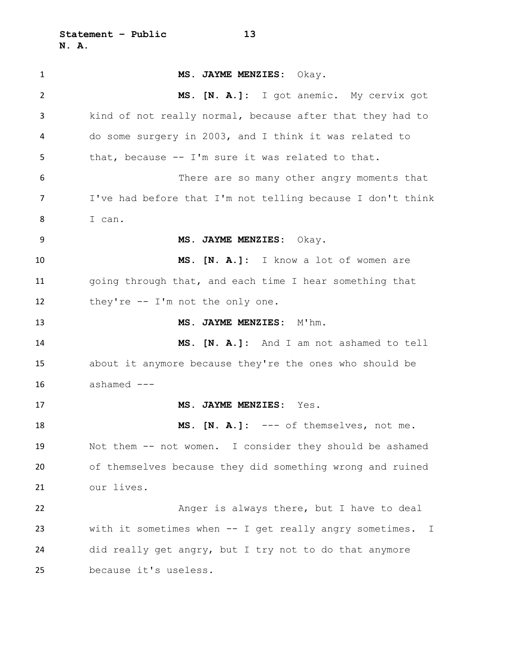**Statement – Public 13 N. A.**

 **MS. JAYME MENZIES:** Okay. **MS. [N. A.]:** I got anemic. My cervix got kind of not really normal, because after that they had to do some surgery in 2003, and I think it was related to that, because -- I'm sure it was related to that. There are so many other angry moments that I've had before that I'm not telling because I don't think I can. **MS. JAYME MENZIES:** Okay. **MS. [N. A.]:** I know a lot of women are going through that, and each time I hear something that they're -- I'm not the only one. 13 MS. JAYME MENZIES: M'hm. **MS. [N. A.]:** And I am not ashamed to tell about it anymore because they're the ones who should be ashamed --- **MS. JAYME MENZIES:** Yes. **MS. [N. A.]:** --- of themselves, not me. Not them -- not women. I consider they should be ashamed of themselves because they did something wrong and ruined our lives. Anger is always there, but I have to deal with it sometimes when -- I get really angry sometimes. I did really get angry, but I try not to do that anymore because it's useless.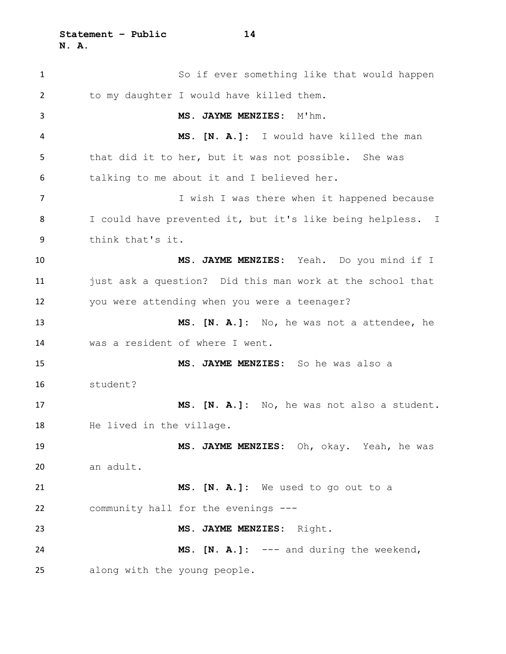| $\mathbf{1}$ | So if ever something like that would happen                |
|--------------|------------------------------------------------------------|
| 2            | to my daughter I would have killed them.                   |
| 3            | MS. JAYME MENZIES:<br>M'hm.                                |
| 4            | MS. [N. A.]: I would have killed the man                   |
| 5            | that did it to her, but it was not possible. She was       |
| 6            | talking to me about it and I believed her.                 |
| 7            | I wish I was there when it happened because                |
| 8            | I could have prevented it, but it's like being helpless. I |
| 9            | think that's it.                                           |
| 10           | MS. JAYME MENZIES: Yeah. Do you mind if I                  |
| 11           | just ask a question? Did this man work at the school that  |
| 12           | you were attending when you were a teenager?               |
| 13           | MS. [N. A.]: No, he was not a attendee, he                 |
| 14           | was a resident of where I went.                            |
| 15           | MS. JAYME MENZIES: So he was also a                        |
| 16           | student?                                                   |
| 17           | MS. [N. A.]: No, he was not also a student.                |
| 18           | He lived in the village.                                   |
| 19           | MS. JAYME MENZIES: Oh, okay. Yeah, he was                  |
| 20           | an adult.                                                  |
| 21           | MS. [N. A.]: We used to go out to a                        |
| 22           | community hall for the evenings ---                        |
| 23           | MS. JAYME MENZIES: Right.                                  |
| 24           | <b>MS.</b> $[N. A.]$ : $---$ and during the weekend,       |
| 25           | along with the young people.                               |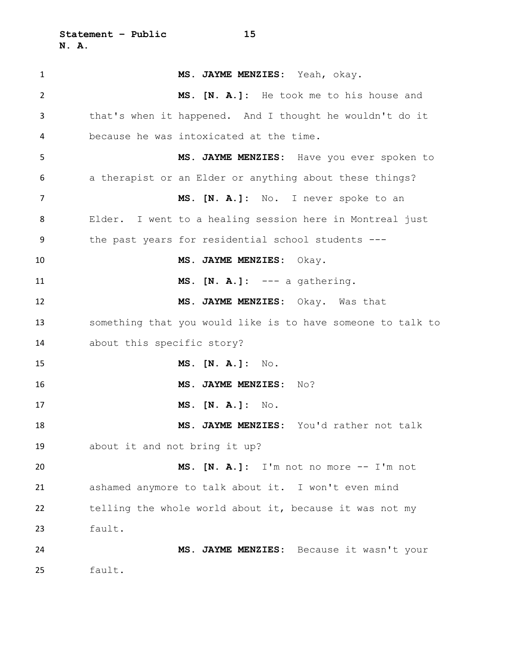**Statement – Public 15 N. A.**

 **MS. JAYME MENZIES:** Yeah, okay. **MS. [N. A.]:** He took me to his house and that's when it happened. And I thought he wouldn't do it because he was intoxicated at the time. **MS. JAYME MENZIES:** Have you ever spoken to a therapist or an Elder or anything about these things? **MS. [N. A.]:** No. I never spoke to an Elder. I went to a healing session here in Montreal just the past years for residential school students --- **MS. JAYME MENZIES:** Okay. **MS. [N. A.]:** --- a gathering. **MS. JAYME MENZIES:** Okay. Was that something that you would like is to have someone to talk to about this specific story? **MS. [N. A.]:** No. **MS. JAYME MENZIES:** No? **MS. [N. A.]:** No. **MS. JAYME MENZIES:** You'd rather not talk about it and not bring it up? **MS. [N. A.]:** I'm not no more -- I'm not ashamed anymore to talk about it. I won't even mind telling the whole world about it, because it was not my fault. **MS. JAYME MENZIES:** Because it wasn't your fault.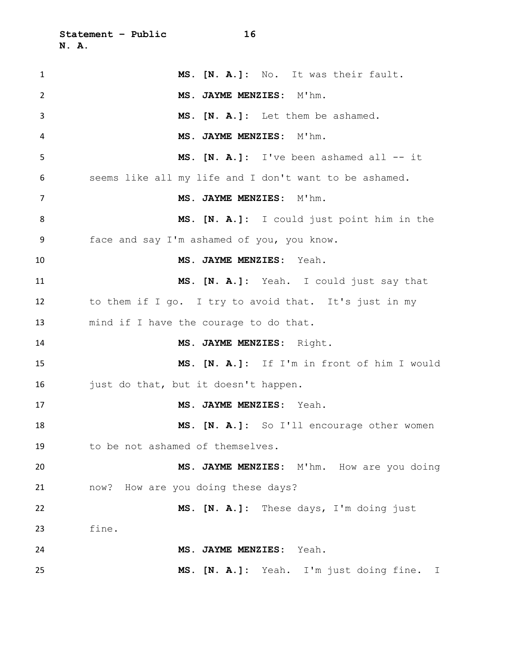| 1              | MS. [N. A.]: No. It was their fault.                   |
|----------------|--------------------------------------------------------|
| $\overline{2}$ | MS. JAYME MENZIES: M'hm.                               |
| 3              | MS. [N. A.]: Let them be ashamed.                      |
| 4              | MS. JAYME MENZIES: M'hm.                               |
| 5              | MS. [N. A.]: I've been ashamed all -- it               |
| 6              | seems like all my life and I don't want to be ashamed. |
| 7              | MS. JAYME MENZIES: M'hm.                               |
| 8              | MS. [N. A.]: I could just point him in the             |
| 9              | face and say I'm ashamed of you, you know.             |
| 10             | MS. JAYME MENZIES: Yeah.                               |
| 11             | MS. [N. A.]: Yeah. I could just say that               |
| 12             | to them if I go. I try to avoid that. It's just in my  |
| 13             | mind if I have the courage to do that.                 |
| 14             | MS. JAYME MENZIES: Right.                              |
| 15             | MS. [N. A.]: If I'm in front of him I would            |
| 16             | just do that, but it doesn't happen.                   |
| 17             | MS. JAYME MENZIES: Yeah.                               |
| 18             | MS. [N. A.]: So I'll encourage other women             |
| 19             | to be not ashamed of themselves.                       |
| 20             | MS. JAYME MENZIES: M'hm. How are you doing             |
| 21             | now? How are you doing these days?                     |
| 22             | MS. [N. A.]: These days, I'm doing just                |
| 23             | fine.                                                  |
| 24             | MS. JAYME MENZIES:<br>Yeah.                            |
| 25             | MS. [N. A.]: Yeah. I'm just doing fine. I              |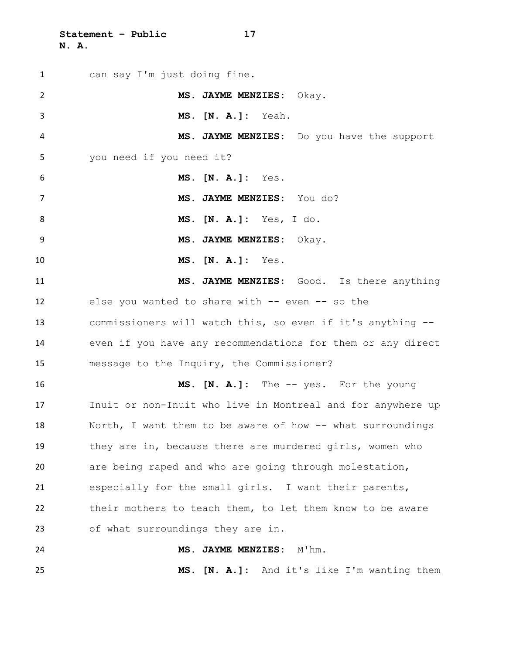**Statement – Public 17 N. A.**

| $\mathbf{1}$   | can say I'm just doing fine.                                |
|----------------|-------------------------------------------------------------|
| $\overline{2}$ | MS. JAYME MENZIES: Okay.                                    |
| 3              | MS. [N. A.]: Yeah.                                          |
| 4              | MS. JAYME MENZIES: Do you have the support                  |
| 5              | you need if you need it?                                    |
| 6              | MS. [N. A.]: Yes.                                           |
| $\overline{7}$ | MS. JAYME MENZIES: You do?                                  |
| 8              | MS. [N. A.]: Yes, I do.                                     |
| 9              | MS. JAYME MENZIES: Okay.                                    |
| 10             | MS. [N. A.]: Yes.                                           |
| 11             | MS. JAYME MENZIES: Good. Is there anything                  |
| 12             | else you wanted to share with -- even -- so the             |
| 13             | commissioners will watch this, so even if it's anything --  |
| 14             | even if you have any recommendations for them or any direct |
| 15             | message to the Inquiry, the Commissioner?                   |
| 16             | MS. [N. A.]: The -- yes. For the young                      |
| 17             | Inuit or non-Inuit who live in Montreal and for anywhere up |
| 18             | North, I want them to be aware of how -- what surroundings  |
| 19             | they are in, because there are murdered girls, women who    |
| 20             | are being raped and who are going through molestation,      |
| 21             | especially for the small girls. I want their parents,       |
| 22             | their mothers to teach them, to let them know to be aware   |
| 23             | of what surroundings they are in.                           |
| 24             | MS. JAYME MENZIES: M'hm.                                    |
| 25             | MS. [N. A.]: And it's like I'm wanting them                 |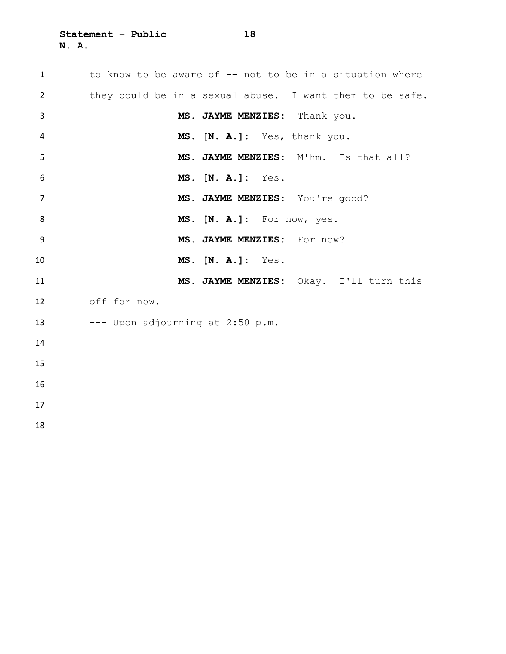**Statement – Public 18 N. A.**

| $\mathbf{1}$   | to know to be aware of -- not to be in a situation where |
|----------------|----------------------------------------------------------|
| $\overline{2}$ | they could be in a sexual abuse. I want them to be safe. |
| 3              | MS. JAYME MENZIES: Thank you.                            |
| 4              | MS. [N. A.]: Yes, thank you.                             |
| 5              | MS. JAYME MENZIES: M'hm. Is that all?                    |
| 6              | MS. [N. A.]: Yes.                                        |
| $\overline{7}$ | MS. JAYME MENZIES: You're good?                          |
| 8              | MS. [N. A.]: For now, yes.                               |
| -9             | MS. JAYME MENZIES: For now?                              |
| 10             | MS. [N. A.]: Yes.                                        |
| 11             | MS. JAYME MENZIES: Okay. I'll turn this                  |
| 12             | off for now.                                             |
| 13             | --- Upon adjourning at 2:50 p.m.                         |
| 14             |                                                          |
| 15             |                                                          |
| 16             |                                                          |
| 17             |                                                          |
| 18             |                                                          |